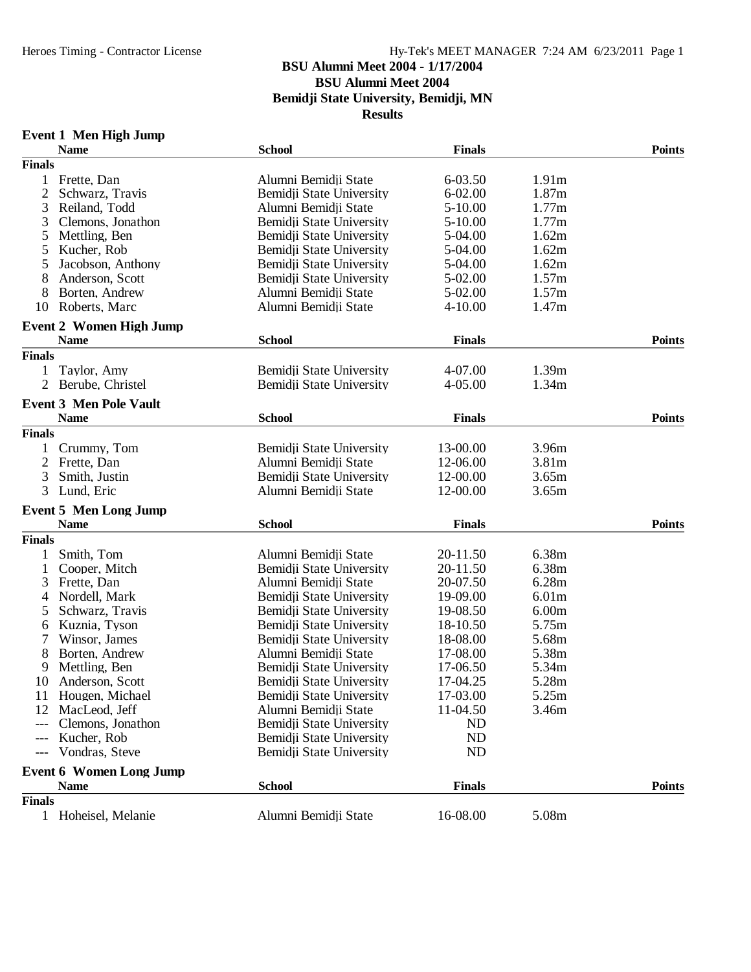# **BSU Alumni Meet 2004 - 1/17/2004**

**BSU Alumni Meet 2004**

**Bemidji State University, Bemidji, MN**

**Results**

### **Event 1 Men High Jump**

|                | <b>Name</b>                                   | <b>School</b>            | <b>Finals</b> |                   | <b>Points</b> |
|----------------|-----------------------------------------------|--------------------------|---------------|-------------------|---------------|
| <b>Finals</b>  |                                               |                          |               |                   |               |
| 1              | Frette, Dan                                   | Alumni Bemidji State     | $6 - 03.50$   | 1.91m             |               |
| $\overline{2}$ | Schwarz, Travis                               | Bemidji State University | $6 - 02.00$   | 1.87m             |               |
| 3              | Reiland, Todd                                 | Alumni Bemidji State     | 5-10.00       | 1.77m             |               |
| 3              | Clemons, Jonathon                             | Bemidji State University | 5-10.00       | 1.77m             |               |
| 5              | Mettling, Ben                                 | Bemidji State University | 5-04.00       | 1.62m             |               |
| 5              | Kucher, Rob                                   | Bemidji State University | 5-04.00       | 1.62m             |               |
| 5              | Jacobson, Anthony                             | Bemidji State University | 5-04.00       | 1.62m             |               |
| 8              | Anderson, Scott                               | Bemidji State University | 5-02.00       | 1.57m             |               |
|                | Borten, Andrew                                | Alumni Bemidii State     | 5-02.00       | 1.57m             |               |
| 10             | Roberts, Marc                                 | Alumni Bemidii State     | $4 - 10.00$   | 1.47m             |               |
|                |                                               |                          |               |                   |               |
|                | <b>Event 2 Women High Jump</b><br><b>Name</b> | <b>School</b>            | <b>Finals</b> |                   | <b>Points</b> |
| <b>Finals</b>  |                                               |                          |               |                   |               |
| 1              | Taylor, Amy                                   | Bemidji State University | 4-07.00       | 1.39m             |               |
| 2              |                                               | Bemidji State University | $4 - 05.00$   |                   |               |
|                | Berube, Christel                              |                          |               | 1.34m             |               |
|                | <b>Event 3 Men Pole Vault</b>                 |                          |               |                   |               |
|                | <b>Name</b>                                   | <b>School</b>            | <b>Finals</b> |                   | <b>Points</b> |
| <b>Finals</b>  |                                               |                          |               |                   |               |
| 1              | Crummy, Tom                                   | Bemidji State University | 13-00.00      | 3.96m             |               |
| 2              | Frette, Dan                                   | Alumni Bemidji State     | 12-06.00      | 3.81m             |               |
| 3              | Smith, Justin                                 | Bemidji State University | 12-00.00      | 3.65m             |               |
| 3              | Lund, Eric                                    | Alumni Bemidji State     | 12-00.00      | 3.65m             |               |
|                | <b>Event 5 Men Long Jump</b>                  |                          |               |                   |               |
|                | <b>Name</b>                                   | <b>School</b>            | <b>Finals</b> |                   | <b>Points</b> |
| <b>Finals</b>  |                                               |                          |               |                   |               |
|                | Smith, Tom                                    | Alumni Bemidji State     | 20-11.50      | 6.38m             |               |
| 1              | Cooper, Mitch                                 | Bemidji State University | 20-11.50      | 6.38m             |               |
| 3              | Frette, Dan                                   | Alumni Bemidji State     | 20-07.50      | 6.28m             |               |
| 4              | Nordell, Mark                                 | Bemidji State University | 19-09.00      | 6.01 <sub>m</sub> |               |
| 5              | Schwarz, Travis                               | Bemidji State University | 19-08.50      | 6.00 <sub>m</sub> |               |
| 6              | Kuznia, Tyson                                 | Bemidji State University | 18-10.50      | 5.75m             |               |
|                | Winsor, James                                 | Bemidji State University | 18-08.00      | 5.68m             |               |
| 8              | Borten, Andrew                                | Alumni Bemidji State     | 17-08.00      | 5.38m             |               |
| 9              | Mettling, Ben                                 | Bemidji State University | 17-06.50      | 5.34m             |               |
| 10             | Anderson, Scott                               | Bemidji State University | 17-04.25      | 5.28m             |               |
|                | 11 Hougen, Michael                            | Bemidji State University | 17-03.00      | 5.25m             |               |
| 12             | MacLeod, Jeff                                 | Alumni Bemidji State     | 11-04.50      | 3.46m             |               |
| ---            | Clemons, Jonathon                             | Bemidji State University | ND            |                   |               |
| $---$          | Kucher, Rob                                   | Bemidji State University | ND            |                   |               |
| $---$          | Vondras, Steve                                | Bemidji State University | ND            |                   |               |
|                |                                               |                          |               |                   |               |
|                | <b>Event 6 Women Long Jump</b><br><b>Name</b> | <b>School</b>            | <b>Finals</b> |                   | <b>Points</b> |
| <b>Finals</b>  |                                               |                          |               |                   |               |
| $\mathbf{1}$   | Hoheisel, Melanie                             | Alumni Bemidji State     | 16-08.00      | 5.08m             |               |
|                |                                               |                          |               |                   |               |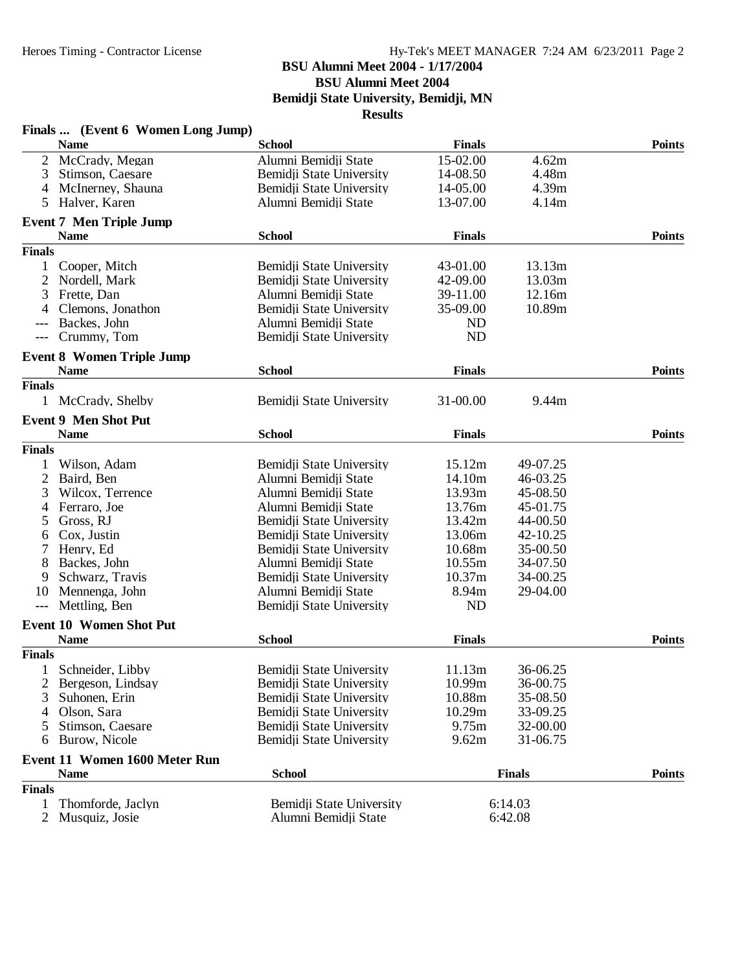#### **BSU Alumni Meet 2004 - 1/17/2004**

**BSU Alumni Meet 2004**

**Bemidji State University, Bemidji, MN**

| <b>Finals</b><br><b>Name</b><br><b>School</b><br>McCrady, Megan<br>Alumni Bemidji State<br>15-02.00<br>4.62m<br>2<br>4.48m<br>Stimson, Caesare<br>Bemidji State University<br>14-08.50<br>3<br>McInerney, Shauna<br>4.39m<br>Bemidji State University<br>14-05.00<br>4<br>Halver, Karen<br>Alumni Bemidji State<br>13-07.00<br>4.14m<br>5<br><b>Event 7 Men Triple Jump</b><br><b>Name</b><br><b>School</b><br><b>Finals</b><br><b>Points</b><br><b>Finals</b><br>13.13m<br>Cooper, Mitch<br>Bemidji State University<br>43-01.00<br>1<br>13.03m<br>2<br>Nordell, Mark<br>42-09.00<br>Bemidji State University<br>39-11.00<br>12.16m<br>3<br>Frette, Dan<br>Alumni Bemidji State<br>10.89m<br>Clemons, Jonathon<br>35-09.00<br>Bemidji State University<br>4<br>Backes, John<br>Alumni Bemidji State<br>ND<br>Bemidji State University<br><b>ND</b><br>Crummy, Tom<br>$---$<br><b>Event 8 Women Triple Jump</b><br><b>School</b><br><b>Points</b><br><b>Name</b><br><b>Finals</b><br><b>Finals</b><br>9.44m<br>1<br>McCrady, Shelby<br>Bemidji State University<br>31-00.00<br><b>Event 9 Men Shot Put</b><br><b>Name</b><br><b>Finals</b><br><b>Points</b><br><b>School</b><br><b>Finals</b><br>15.12m<br>Wilson, Adam<br>Bemidji State University<br>49-07.25<br>1<br>$\overline{2}$<br>Baird, Ben<br>Alumni Bemidji State<br>14.10m<br>46-03.25<br>13.93m<br>45-08.50<br>3<br>Wilcox, Terrence<br>Alumni Bemidji State<br>Alumni Bemidji State<br>13.76m<br>45-01.75<br>Ferraro, Joe<br>4<br>Gross, RJ<br>Bemidji State University<br>13.42m<br>44-00.50<br>5<br>Cox, Justin<br>Bemidji State University<br>13.06m<br>42-10.25<br>6<br>7<br>Henry, Ed<br>10.68m<br>35-00.50<br>Bemidji State University<br>Backes, John<br>8<br>Alumni Bemidji State<br>10.55m<br>34-07.50<br>10.37m<br>34-00.25<br>9<br>Schwarz, Travis<br>Bemidji State University<br>Alumni Bemidji State<br>8.94m<br>29-04.00<br>10<br>Mennenga, John<br>Mettling, Ben<br>Bemidji State University<br>N <sub>D</sub><br>$---$<br><b>Event 10 Women Shot Put</b><br><b>Name</b><br><b>School</b><br><b>Finals</b><br><b>Finals</b><br>1 Schneider, Libby<br>Bemidji State University<br>11.13m<br>36-06.25<br>36-00.75<br>Bemidji State University<br>10.99m<br>Bergeson, Lindsay<br>10.88m<br>35-08.50<br>Suhonen, Erin<br>Bemidji State University<br>3<br>Olson, Sara<br>Bemidji State University<br>10.29m<br>33-09.25<br>4<br>Stimson, Caesare<br>9.75m<br>32-00.00<br>Bemidji State University<br>5<br>9.62m<br>31-06.75<br>Burow, Nicole<br>Bemidji State University<br>6<br><b>Event 11 Women 1600 Meter Run</b><br><b>School</b><br><b>Points</b><br><b>Name</b><br><b>Finals</b><br>Finals<br>6:14.03<br>1<br>Thomforde, Jaclyn<br>Bemidji State University<br>6:42.08 | Finals  (Event 6 Women Long Jump) |                      |  |               |
|--------------------------------------------------------------------------------------------------------------------------------------------------------------------------------------------------------------------------------------------------------------------------------------------------------------------------------------------------------------------------------------------------------------------------------------------------------------------------------------------------------------------------------------------------------------------------------------------------------------------------------------------------------------------------------------------------------------------------------------------------------------------------------------------------------------------------------------------------------------------------------------------------------------------------------------------------------------------------------------------------------------------------------------------------------------------------------------------------------------------------------------------------------------------------------------------------------------------------------------------------------------------------------------------------------------------------------------------------------------------------------------------------------------------------------------------------------------------------------------------------------------------------------------------------------------------------------------------------------------------------------------------------------------------------------------------------------------------------------------------------------------------------------------------------------------------------------------------------------------------------------------------------------------------------------------------------------------------------------------------------------------------------------------------------------------------------------------------------------------------------------------------------------------------------------------------------------------------------------------------------------------------------------------------------------------------------------------------------------------------------------------------------------------------------------------------------------------------------------------------------------------------------------------------------------------------------------------------------------------------------------------------------------------------------------------------------------------------------------------------------------|-----------------------------------|----------------------|--|---------------|
|                                                                                                                                                                                                                                                                                                                                                                                                                                                                                                                                                                                                                                                                                                                                                                                                                                                                                                                                                                                                                                                                                                                                                                                                                                                                                                                                                                                                                                                                                                                                                                                                                                                                                                                                                                                                                                                                                                                                                                                                                                                                                                                                                                                                                                                                                                                                                                                                                                                                                                                                                                                                                                                                                                                                                        |                                   |                      |  | <b>Points</b> |
|                                                                                                                                                                                                                                                                                                                                                                                                                                                                                                                                                                                                                                                                                                                                                                                                                                                                                                                                                                                                                                                                                                                                                                                                                                                                                                                                                                                                                                                                                                                                                                                                                                                                                                                                                                                                                                                                                                                                                                                                                                                                                                                                                                                                                                                                                                                                                                                                                                                                                                                                                                                                                                                                                                                                                        |                                   |                      |  |               |
|                                                                                                                                                                                                                                                                                                                                                                                                                                                                                                                                                                                                                                                                                                                                                                                                                                                                                                                                                                                                                                                                                                                                                                                                                                                                                                                                                                                                                                                                                                                                                                                                                                                                                                                                                                                                                                                                                                                                                                                                                                                                                                                                                                                                                                                                                                                                                                                                                                                                                                                                                                                                                                                                                                                                                        |                                   |                      |  |               |
|                                                                                                                                                                                                                                                                                                                                                                                                                                                                                                                                                                                                                                                                                                                                                                                                                                                                                                                                                                                                                                                                                                                                                                                                                                                                                                                                                                                                                                                                                                                                                                                                                                                                                                                                                                                                                                                                                                                                                                                                                                                                                                                                                                                                                                                                                                                                                                                                                                                                                                                                                                                                                                                                                                                                                        |                                   |                      |  |               |
|                                                                                                                                                                                                                                                                                                                                                                                                                                                                                                                                                                                                                                                                                                                                                                                                                                                                                                                                                                                                                                                                                                                                                                                                                                                                                                                                                                                                                                                                                                                                                                                                                                                                                                                                                                                                                                                                                                                                                                                                                                                                                                                                                                                                                                                                                                                                                                                                                                                                                                                                                                                                                                                                                                                                                        |                                   |                      |  |               |
|                                                                                                                                                                                                                                                                                                                                                                                                                                                                                                                                                                                                                                                                                                                                                                                                                                                                                                                                                                                                                                                                                                                                                                                                                                                                                                                                                                                                                                                                                                                                                                                                                                                                                                                                                                                                                                                                                                                                                                                                                                                                                                                                                                                                                                                                                                                                                                                                                                                                                                                                                                                                                                                                                                                                                        |                                   |                      |  |               |
|                                                                                                                                                                                                                                                                                                                                                                                                                                                                                                                                                                                                                                                                                                                                                                                                                                                                                                                                                                                                                                                                                                                                                                                                                                                                                                                                                                                                                                                                                                                                                                                                                                                                                                                                                                                                                                                                                                                                                                                                                                                                                                                                                                                                                                                                                                                                                                                                                                                                                                                                                                                                                                                                                                                                                        |                                   |                      |  |               |
|                                                                                                                                                                                                                                                                                                                                                                                                                                                                                                                                                                                                                                                                                                                                                                                                                                                                                                                                                                                                                                                                                                                                                                                                                                                                                                                                                                                                                                                                                                                                                                                                                                                                                                                                                                                                                                                                                                                                                                                                                                                                                                                                                                                                                                                                                                                                                                                                                                                                                                                                                                                                                                                                                                                                                        |                                   |                      |  |               |
|                                                                                                                                                                                                                                                                                                                                                                                                                                                                                                                                                                                                                                                                                                                                                                                                                                                                                                                                                                                                                                                                                                                                                                                                                                                                                                                                                                                                                                                                                                                                                                                                                                                                                                                                                                                                                                                                                                                                                                                                                                                                                                                                                                                                                                                                                                                                                                                                                                                                                                                                                                                                                                                                                                                                                        |                                   |                      |  |               |
|                                                                                                                                                                                                                                                                                                                                                                                                                                                                                                                                                                                                                                                                                                                                                                                                                                                                                                                                                                                                                                                                                                                                                                                                                                                                                                                                                                                                                                                                                                                                                                                                                                                                                                                                                                                                                                                                                                                                                                                                                                                                                                                                                                                                                                                                                                                                                                                                                                                                                                                                                                                                                                                                                                                                                        |                                   |                      |  |               |
|                                                                                                                                                                                                                                                                                                                                                                                                                                                                                                                                                                                                                                                                                                                                                                                                                                                                                                                                                                                                                                                                                                                                                                                                                                                                                                                                                                                                                                                                                                                                                                                                                                                                                                                                                                                                                                                                                                                                                                                                                                                                                                                                                                                                                                                                                                                                                                                                                                                                                                                                                                                                                                                                                                                                                        |                                   |                      |  |               |
|                                                                                                                                                                                                                                                                                                                                                                                                                                                                                                                                                                                                                                                                                                                                                                                                                                                                                                                                                                                                                                                                                                                                                                                                                                                                                                                                                                                                                                                                                                                                                                                                                                                                                                                                                                                                                                                                                                                                                                                                                                                                                                                                                                                                                                                                                                                                                                                                                                                                                                                                                                                                                                                                                                                                                        |                                   |                      |  |               |
|                                                                                                                                                                                                                                                                                                                                                                                                                                                                                                                                                                                                                                                                                                                                                                                                                                                                                                                                                                                                                                                                                                                                                                                                                                                                                                                                                                                                                                                                                                                                                                                                                                                                                                                                                                                                                                                                                                                                                                                                                                                                                                                                                                                                                                                                                                                                                                                                                                                                                                                                                                                                                                                                                                                                                        |                                   |                      |  |               |
|                                                                                                                                                                                                                                                                                                                                                                                                                                                                                                                                                                                                                                                                                                                                                                                                                                                                                                                                                                                                                                                                                                                                                                                                                                                                                                                                                                                                                                                                                                                                                                                                                                                                                                                                                                                                                                                                                                                                                                                                                                                                                                                                                                                                                                                                                                                                                                                                                                                                                                                                                                                                                                                                                                                                                        |                                   |                      |  |               |
|                                                                                                                                                                                                                                                                                                                                                                                                                                                                                                                                                                                                                                                                                                                                                                                                                                                                                                                                                                                                                                                                                                                                                                                                                                                                                                                                                                                                                                                                                                                                                                                                                                                                                                                                                                                                                                                                                                                                                                                                                                                                                                                                                                                                                                                                                                                                                                                                                                                                                                                                                                                                                                                                                                                                                        |                                   |                      |  |               |
|                                                                                                                                                                                                                                                                                                                                                                                                                                                                                                                                                                                                                                                                                                                                                                                                                                                                                                                                                                                                                                                                                                                                                                                                                                                                                                                                                                                                                                                                                                                                                                                                                                                                                                                                                                                                                                                                                                                                                                                                                                                                                                                                                                                                                                                                                                                                                                                                                                                                                                                                                                                                                                                                                                                                                        |                                   |                      |  |               |
|                                                                                                                                                                                                                                                                                                                                                                                                                                                                                                                                                                                                                                                                                                                                                                                                                                                                                                                                                                                                                                                                                                                                                                                                                                                                                                                                                                                                                                                                                                                                                                                                                                                                                                                                                                                                                                                                                                                                                                                                                                                                                                                                                                                                                                                                                                                                                                                                                                                                                                                                                                                                                                                                                                                                                        |                                   |                      |  |               |
|                                                                                                                                                                                                                                                                                                                                                                                                                                                                                                                                                                                                                                                                                                                                                                                                                                                                                                                                                                                                                                                                                                                                                                                                                                                                                                                                                                                                                                                                                                                                                                                                                                                                                                                                                                                                                                                                                                                                                                                                                                                                                                                                                                                                                                                                                                                                                                                                                                                                                                                                                                                                                                                                                                                                                        |                                   |                      |  |               |
|                                                                                                                                                                                                                                                                                                                                                                                                                                                                                                                                                                                                                                                                                                                                                                                                                                                                                                                                                                                                                                                                                                                                                                                                                                                                                                                                                                                                                                                                                                                                                                                                                                                                                                                                                                                                                                                                                                                                                                                                                                                                                                                                                                                                                                                                                                                                                                                                                                                                                                                                                                                                                                                                                                                                                        |                                   |                      |  |               |
|                                                                                                                                                                                                                                                                                                                                                                                                                                                                                                                                                                                                                                                                                                                                                                                                                                                                                                                                                                                                                                                                                                                                                                                                                                                                                                                                                                                                                                                                                                                                                                                                                                                                                                                                                                                                                                                                                                                                                                                                                                                                                                                                                                                                                                                                                                                                                                                                                                                                                                                                                                                                                                                                                                                                                        |                                   |                      |  |               |
|                                                                                                                                                                                                                                                                                                                                                                                                                                                                                                                                                                                                                                                                                                                                                                                                                                                                                                                                                                                                                                                                                                                                                                                                                                                                                                                                                                                                                                                                                                                                                                                                                                                                                                                                                                                                                                                                                                                                                                                                                                                                                                                                                                                                                                                                                                                                                                                                                                                                                                                                                                                                                                                                                                                                                        |                                   |                      |  |               |
|                                                                                                                                                                                                                                                                                                                                                                                                                                                                                                                                                                                                                                                                                                                                                                                                                                                                                                                                                                                                                                                                                                                                                                                                                                                                                                                                                                                                                                                                                                                                                                                                                                                                                                                                                                                                                                                                                                                                                                                                                                                                                                                                                                                                                                                                                                                                                                                                                                                                                                                                                                                                                                                                                                                                                        |                                   |                      |  |               |
|                                                                                                                                                                                                                                                                                                                                                                                                                                                                                                                                                                                                                                                                                                                                                                                                                                                                                                                                                                                                                                                                                                                                                                                                                                                                                                                                                                                                                                                                                                                                                                                                                                                                                                                                                                                                                                                                                                                                                                                                                                                                                                                                                                                                                                                                                                                                                                                                                                                                                                                                                                                                                                                                                                                                                        |                                   |                      |  |               |
|                                                                                                                                                                                                                                                                                                                                                                                                                                                                                                                                                                                                                                                                                                                                                                                                                                                                                                                                                                                                                                                                                                                                                                                                                                                                                                                                                                                                                                                                                                                                                                                                                                                                                                                                                                                                                                                                                                                                                                                                                                                                                                                                                                                                                                                                                                                                                                                                                                                                                                                                                                                                                                                                                                                                                        |                                   |                      |  |               |
|                                                                                                                                                                                                                                                                                                                                                                                                                                                                                                                                                                                                                                                                                                                                                                                                                                                                                                                                                                                                                                                                                                                                                                                                                                                                                                                                                                                                                                                                                                                                                                                                                                                                                                                                                                                                                                                                                                                                                                                                                                                                                                                                                                                                                                                                                                                                                                                                                                                                                                                                                                                                                                                                                                                                                        |                                   |                      |  |               |
|                                                                                                                                                                                                                                                                                                                                                                                                                                                                                                                                                                                                                                                                                                                                                                                                                                                                                                                                                                                                                                                                                                                                                                                                                                                                                                                                                                                                                                                                                                                                                                                                                                                                                                                                                                                                                                                                                                                                                                                                                                                                                                                                                                                                                                                                                                                                                                                                                                                                                                                                                                                                                                                                                                                                                        |                                   |                      |  |               |
|                                                                                                                                                                                                                                                                                                                                                                                                                                                                                                                                                                                                                                                                                                                                                                                                                                                                                                                                                                                                                                                                                                                                                                                                                                                                                                                                                                                                                                                                                                                                                                                                                                                                                                                                                                                                                                                                                                                                                                                                                                                                                                                                                                                                                                                                                                                                                                                                                                                                                                                                                                                                                                                                                                                                                        |                                   |                      |  |               |
|                                                                                                                                                                                                                                                                                                                                                                                                                                                                                                                                                                                                                                                                                                                                                                                                                                                                                                                                                                                                                                                                                                                                                                                                                                                                                                                                                                                                                                                                                                                                                                                                                                                                                                                                                                                                                                                                                                                                                                                                                                                                                                                                                                                                                                                                                                                                                                                                                                                                                                                                                                                                                                                                                                                                                        |                                   |                      |  |               |
|                                                                                                                                                                                                                                                                                                                                                                                                                                                                                                                                                                                                                                                                                                                                                                                                                                                                                                                                                                                                                                                                                                                                                                                                                                                                                                                                                                                                                                                                                                                                                                                                                                                                                                                                                                                                                                                                                                                                                                                                                                                                                                                                                                                                                                                                                                                                                                                                                                                                                                                                                                                                                                                                                                                                                        |                                   |                      |  |               |
|                                                                                                                                                                                                                                                                                                                                                                                                                                                                                                                                                                                                                                                                                                                                                                                                                                                                                                                                                                                                                                                                                                                                                                                                                                                                                                                                                                                                                                                                                                                                                                                                                                                                                                                                                                                                                                                                                                                                                                                                                                                                                                                                                                                                                                                                                                                                                                                                                                                                                                                                                                                                                                                                                                                                                        |                                   |                      |  |               |
|                                                                                                                                                                                                                                                                                                                                                                                                                                                                                                                                                                                                                                                                                                                                                                                                                                                                                                                                                                                                                                                                                                                                                                                                                                                                                                                                                                                                                                                                                                                                                                                                                                                                                                                                                                                                                                                                                                                                                                                                                                                                                                                                                                                                                                                                                                                                                                                                                                                                                                                                                                                                                                                                                                                                                        |                                   |                      |  |               |
|                                                                                                                                                                                                                                                                                                                                                                                                                                                                                                                                                                                                                                                                                                                                                                                                                                                                                                                                                                                                                                                                                                                                                                                                                                                                                                                                                                                                                                                                                                                                                                                                                                                                                                                                                                                                                                                                                                                                                                                                                                                                                                                                                                                                                                                                                                                                                                                                                                                                                                                                                                                                                                                                                                                                                        |                                   |                      |  |               |
|                                                                                                                                                                                                                                                                                                                                                                                                                                                                                                                                                                                                                                                                                                                                                                                                                                                                                                                                                                                                                                                                                                                                                                                                                                                                                                                                                                                                                                                                                                                                                                                                                                                                                                                                                                                                                                                                                                                                                                                                                                                                                                                                                                                                                                                                                                                                                                                                                                                                                                                                                                                                                                                                                                                                                        |                                   |                      |  |               |
|                                                                                                                                                                                                                                                                                                                                                                                                                                                                                                                                                                                                                                                                                                                                                                                                                                                                                                                                                                                                                                                                                                                                                                                                                                                                                                                                                                                                                                                                                                                                                                                                                                                                                                                                                                                                                                                                                                                                                                                                                                                                                                                                                                                                                                                                                                                                                                                                                                                                                                                                                                                                                                                                                                                                                        |                                   |                      |  |               |
|                                                                                                                                                                                                                                                                                                                                                                                                                                                                                                                                                                                                                                                                                                                                                                                                                                                                                                                                                                                                                                                                                                                                                                                                                                                                                                                                                                                                                                                                                                                                                                                                                                                                                                                                                                                                                                                                                                                                                                                                                                                                                                                                                                                                                                                                                                                                                                                                                                                                                                                                                                                                                                                                                                                                                        |                                   |                      |  | <b>Points</b> |
|                                                                                                                                                                                                                                                                                                                                                                                                                                                                                                                                                                                                                                                                                                                                                                                                                                                                                                                                                                                                                                                                                                                                                                                                                                                                                                                                                                                                                                                                                                                                                                                                                                                                                                                                                                                                                                                                                                                                                                                                                                                                                                                                                                                                                                                                                                                                                                                                                                                                                                                                                                                                                                                                                                                                                        |                                   |                      |  |               |
|                                                                                                                                                                                                                                                                                                                                                                                                                                                                                                                                                                                                                                                                                                                                                                                                                                                                                                                                                                                                                                                                                                                                                                                                                                                                                                                                                                                                                                                                                                                                                                                                                                                                                                                                                                                                                                                                                                                                                                                                                                                                                                                                                                                                                                                                                                                                                                                                                                                                                                                                                                                                                                                                                                                                                        |                                   |                      |  |               |
|                                                                                                                                                                                                                                                                                                                                                                                                                                                                                                                                                                                                                                                                                                                                                                                                                                                                                                                                                                                                                                                                                                                                                                                                                                                                                                                                                                                                                                                                                                                                                                                                                                                                                                                                                                                                                                                                                                                                                                                                                                                                                                                                                                                                                                                                                                                                                                                                                                                                                                                                                                                                                                                                                                                                                        |                                   |                      |  |               |
|                                                                                                                                                                                                                                                                                                                                                                                                                                                                                                                                                                                                                                                                                                                                                                                                                                                                                                                                                                                                                                                                                                                                                                                                                                                                                                                                                                                                                                                                                                                                                                                                                                                                                                                                                                                                                                                                                                                                                                                                                                                                                                                                                                                                                                                                                                                                                                                                                                                                                                                                                                                                                                                                                                                                                        |                                   |                      |  |               |
|                                                                                                                                                                                                                                                                                                                                                                                                                                                                                                                                                                                                                                                                                                                                                                                                                                                                                                                                                                                                                                                                                                                                                                                                                                                                                                                                                                                                                                                                                                                                                                                                                                                                                                                                                                                                                                                                                                                                                                                                                                                                                                                                                                                                                                                                                                                                                                                                                                                                                                                                                                                                                                                                                                                                                        |                                   |                      |  |               |
|                                                                                                                                                                                                                                                                                                                                                                                                                                                                                                                                                                                                                                                                                                                                                                                                                                                                                                                                                                                                                                                                                                                                                                                                                                                                                                                                                                                                                                                                                                                                                                                                                                                                                                                                                                                                                                                                                                                                                                                                                                                                                                                                                                                                                                                                                                                                                                                                                                                                                                                                                                                                                                                                                                                                                        |                                   |                      |  |               |
|                                                                                                                                                                                                                                                                                                                                                                                                                                                                                                                                                                                                                                                                                                                                                                                                                                                                                                                                                                                                                                                                                                                                                                                                                                                                                                                                                                                                                                                                                                                                                                                                                                                                                                                                                                                                                                                                                                                                                                                                                                                                                                                                                                                                                                                                                                                                                                                                                                                                                                                                                                                                                                                                                                                                                        |                                   |                      |  |               |
|                                                                                                                                                                                                                                                                                                                                                                                                                                                                                                                                                                                                                                                                                                                                                                                                                                                                                                                                                                                                                                                                                                                                                                                                                                                                                                                                                                                                                                                                                                                                                                                                                                                                                                                                                                                                                                                                                                                                                                                                                                                                                                                                                                                                                                                                                                                                                                                                                                                                                                                                                                                                                                                                                                                                                        |                                   |                      |  |               |
|                                                                                                                                                                                                                                                                                                                                                                                                                                                                                                                                                                                                                                                                                                                                                                                                                                                                                                                                                                                                                                                                                                                                                                                                                                                                                                                                                                                                                                                                                                                                                                                                                                                                                                                                                                                                                                                                                                                                                                                                                                                                                                                                                                                                                                                                                                                                                                                                                                                                                                                                                                                                                                                                                                                                                        |                                   |                      |  |               |
|                                                                                                                                                                                                                                                                                                                                                                                                                                                                                                                                                                                                                                                                                                                                                                                                                                                                                                                                                                                                                                                                                                                                                                                                                                                                                                                                                                                                                                                                                                                                                                                                                                                                                                                                                                                                                                                                                                                                                                                                                                                                                                                                                                                                                                                                                                                                                                                                                                                                                                                                                                                                                                                                                                                                                        |                                   |                      |  |               |
|                                                                                                                                                                                                                                                                                                                                                                                                                                                                                                                                                                                                                                                                                                                                                                                                                                                                                                                                                                                                                                                                                                                                                                                                                                                                                                                                                                                                                                                                                                                                                                                                                                                                                                                                                                                                                                                                                                                                                                                                                                                                                                                                                                                                                                                                                                                                                                                                                                                                                                                                                                                                                                                                                                                                                        |                                   |                      |  |               |
|                                                                                                                                                                                                                                                                                                                                                                                                                                                                                                                                                                                                                                                                                                                                                                                                                                                                                                                                                                                                                                                                                                                                                                                                                                                                                                                                                                                                                                                                                                                                                                                                                                                                                                                                                                                                                                                                                                                                                                                                                                                                                                                                                                                                                                                                                                                                                                                                                                                                                                                                                                                                                                                                                                                                                        | 2 Musquiz, Josie                  | Alumni Bemidji State |  |               |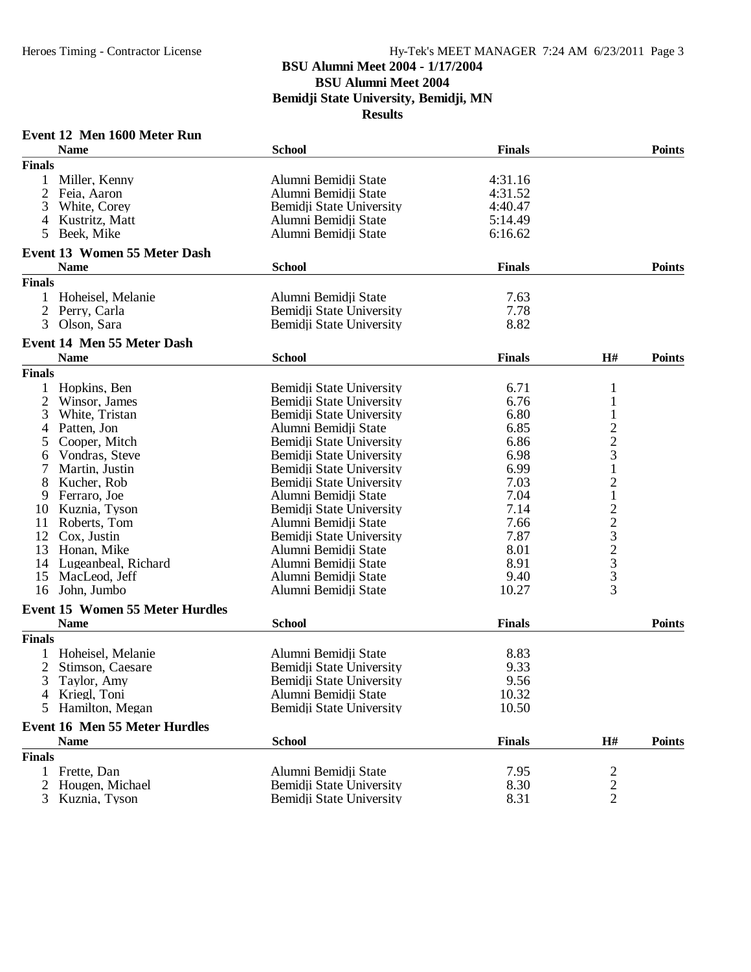#### **BSU Alumni Meet 2004 - 1/17/2004**

**BSU Alumni Meet 2004**

**Bemidji State University, Bemidji, MN**

**Results**

### **Event 12 Men 1600 Meter Run**

|                | <b>Name</b>                            | <b>School</b>            | <b>Finals</b> |                         | <b>Points</b> |
|----------------|----------------------------------------|--------------------------|---------------|-------------------------|---------------|
| <b>Finals</b>  |                                        |                          |               |                         |               |
|                | Miller, Kenny                          | Alumni Bemidii State     | 4:31.16       |                         |               |
| $\overline{2}$ | Feia, Aaron                            | Alumni Bemidji State     | 4:31.52       |                         |               |
| 3              | White, Corey                           | Bemidji State University | 4:40.47       |                         |               |
| 4              | Kustritz, Matt                         | Alumni Bemidji State     | 5:14.49       |                         |               |
| 5              | Beek, Mike                             | Alumni Bemidji State     | 6:16.62       |                         |               |
|                |                                        |                          |               |                         |               |
|                | <b>Event 13 Women 55 Meter Dash</b>    |                          |               |                         |               |
|                | <b>Name</b>                            | <b>School</b>            | <b>Finals</b> |                         | <b>Points</b> |
| <b>Finals</b>  |                                        |                          |               |                         |               |
| 1              | Hoheisel, Melanie                      | Alumni Bemidii State     | 7.63          |                         |               |
| 2              | Perry, Carla                           | Bemidji State University | 7.78          |                         |               |
| 3              | Olson, Sara                            | Bemidji State University | 8.82          |                         |               |
|                | Event 14 Men 55 Meter Dash             |                          |               |                         |               |
|                | <b>Name</b>                            | <b>School</b>            | <b>Finals</b> | H#                      | <b>Points</b> |
| <b>Finals</b>  |                                        |                          |               |                         |               |
| 1              | Hopkins, Ben                           | Bemidji State University | 6.71          | 1                       |               |
| 2              | Winsor, James                          | Bemidji State University | 6.76          | $\mathbf{1}$            |               |
| 3              | White, Tristan                         | Bemidji State University | 6.80          |                         |               |
| 4              | Patten, Jon                            | Alumni Bemidji State     | 6.85          |                         |               |
| 5              | Cooper, Mitch                          | Bemidji State University | 6.86          | $\frac{2}{3}$           |               |
| 6              | Vondras, Steve                         | Bemidji State University | 6.98          |                         |               |
|                | Martin, Justin                         | Bemidji State University | 6.99          | $\mathbf{1}$            |               |
| 8              | Kucher, Rob                            | Bemidji State University | 7.03          | $\overline{\mathbf{c}}$ |               |
| 9              | Ferraro, Joe                           | Alumni Bemidji State     | 7.04          | $\mathbf 1$             |               |
| 10             | Kuznia, Tyson                          | Bemidji State University | 7.14          |                         |               |
| 11             | Roberts, Tom                           | Alumni Bemidji State     | 7.66          | $22323$<br>$33$         |               |
| 12             | Cox, Justin                            | Bemidji State University | 7.87          |                         |               |
| 13             | Honan, Mike                            | Alumni Bemidji State     | 8.01          |                         |               |
| 14             | Lugeanbeal, Richard                    | Alumni Bemidji State     | 8.91          |                         |               |
| 15             | MacLeod, Jeff                          | Alumni Bemidji State     | 9.40          |                         |               |
| 16             | John, Jumbo                            | Alumni Bemidji State     | 10.27         | 3                       |               |
|                | <b>Event 15 Women 55 Meter Hurdles</b> |                          |               |                         |               |
|                | <b>Name</b>                            | <b>School</b>            | <b>Finals</b> |                         | <b>Points</b> |
| <b>Finals</b>  |                                        |                          |               |                         |               |
| 1              | Hoheisel, Melanie                      | Alumni Bemidji State     | 8.83          |                         |               |
| 2              | Stimson, Caesare                       | Bemidji State University | 9.33          |                         |               |
| 3              | Taylor, Amy                            | Bemidji State University | 9.56          |                         |               |
|                | 4 Kriegl, Toni                         | Alumni Bemidji State     |               |                         |               |
|                |                                        |                          | 10.32         |                         |               |
| 5              | Hamilton, Megan                        | Bemidji State University | 10.50         |                         |               |
|                | <b>Event 16 Men 55 Meter Hurdles</b>   |                          |               |                         |               |
|                | <b>Name</b>                            | <b>School</b>            | <b>Finals</b> | H#                      | <b>Points</b> |
| <b>Finals</b>  |                                        |                          |               |                         |               |
| 1              | Frette, Dan                            | Alumni Bemidji State     | 7.95          | $\overline{c}$          |               |
| 2              | Hougen, Michael                        | Bemidji State University | 8.30          | $\frac{2}{2}$           |               |
|                | Kuznia, Tyson                          | Bemidii State University | 8.31          |                         |               |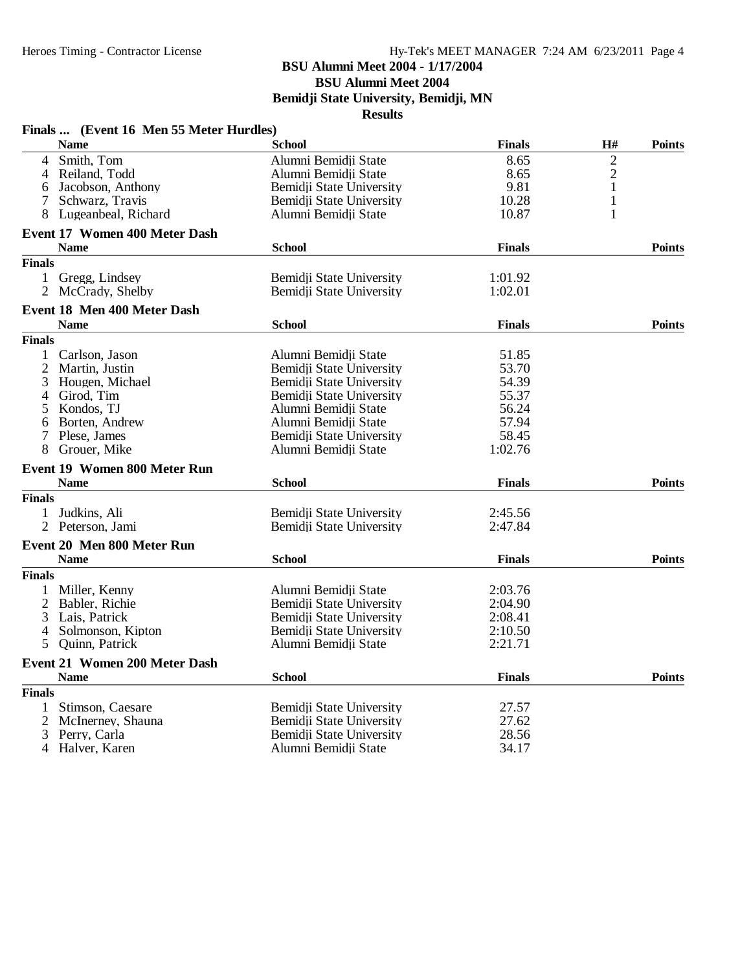#### **BSU Alumni Meet 2004 - 1/17/2004**

**BSU Alumni Meet 2004**

**Bemidji State University, Bemidji, MN**

| Finals  (Event 16 Men 55 Meter Hurdles)   |                          |               |                |               |
|-------------------------------------------|--------------------------|---------------|----------------|---------------|
| <b>Name</b>                               | School                   | <b>Finals</b> | H#             | <b>Points</b> |
| Smith, Tom<br>4                           | Alumni Bemidji State     | 8.65          | $\overline{2}$ |               |
| Reiland, Todd<br>4                        | Alumni Bemidji State     | 8.65          | $\overline{c}$ |               |
| Jacobson, Anthony<br>6                    | Bemidji State University | 9.81          | 1              |               |
| Schwarz, Travis<br>7                      | Bemidji State University | 10.28         | $\mathbf{1}$   |               |
| 8<br>Lugeanbeal, Richard                  | Alumni Bemidji State     | 10.87         | $\mathbf{1}$   |               |
| <b>Event 17 Women 400 Meter Dash</b>      |                          |               |                |               |
| <b>Name</b>                               | <b>School</b>            | <b>Finals</b> |                | <b>Points</b> |
| <b>Finals</b>                             |                          |               |                |               |
| Gregg, Lindsey<br>$\mathbf{1}$            | Bemidii State University | 1:01.92       |                |               |
| $\overline{2}$<br>McCrady, Shelby         | Bemidji State University | 1:02.01       |                |               |
| Event 18 Men 400 Meter Dash               |                          |               |                |               |
| <b>Name</b>                               | <b>School</b>            | <b>Finals</b> |                | <b>Points</b> |
| <b>Finals</b>                             |                          |               |                |               |
| 1 Carlson, Jason                          | Alumni Bemidji State     | 51.85         |                |               |
| 2<br>Martin, Justin                       | Bemidji State University | 53.70         |                |               |
| 3<br>Hougen, Michael                      | Bemidji State University | 54.39         |                |               |
| Girod, Tim<br>4                           | Bemidji State University | 55.37         |                |               |
| 5<br>Kondos, TJ                           | Alumni Bemidji State     | 56.24         |                |               |
| Borten, Andrew<br>6                       | Alumni Bemidji State     | 57.94         |                |               |
| Plese, James<br>7                         | Bemidii State University | 58.45         |                |               |
| Grouer, Mike<br>8                         | Alumni Bemidji State     | 1:02.76       |                |               |
| <b>Event 19 Women 800 Meter Run</b>       |                          |               |                |               |
| <b>Name</b>                               | <b>School</b>            | <b>Finals</b> |                | <b>Points</b> |
| <b>Finals</b>                             |                          |               |                |               |
| Judkins, Ali<br>1                         | Bemidii State University | 2:45.56       |                |               |
| 2 Peterson, Jami                          | Bemidji State University | 2:47.84       |                |               |
|                                           |                          |               |                |               |
| Event 20 Men 800 Meter Run<br><b>Name</b> | <b>School</b>            | <b>Finals</b> |                | <b>Points</b> |
| <b>Finals</b>                             |                          |               |                |               |
|                                           |                          |               |                |               |
| Miller, Kenny<br>1                        | Alumni Bemidji State     | 2:03.76       |                |               |
| 2<br>Babler, Richie                       | Bemidji State University | 2:04.90       |                |               |
| 3<br>Lais, Patrick                        | Bemidji State University | 2:08.41       |                |               |
| Solmonson, Kipton<br>4                    | Bemidji State University | 2:10.50       |                |               |
| 5<br>Quinn, Patrick                       | Alumni Bemidji State     | 2:21.71       |                |               |
| Event 21 Women 200 Meter Dash             |                          |               |                |               |
| <b>Name</b>                               | <b>School</b>            | <b>Finals</b> |                | <b>Points</b> |
| <b>Finals</b>                             |                          |               |                |               |
| Stimson, Caesare<br>1                     | Bemidji State University | 27.57         |                |               |
| 2<br>McInerney, Shauna                    | Bemidji State University | 27.62         |                |               |
| 3<br>Perry, Carla                         | Bemidji State University | 28.56         |                |               |
| 4<br>Halver, Karen                        | Alumni Bemidji State     | 34.17         |                |               |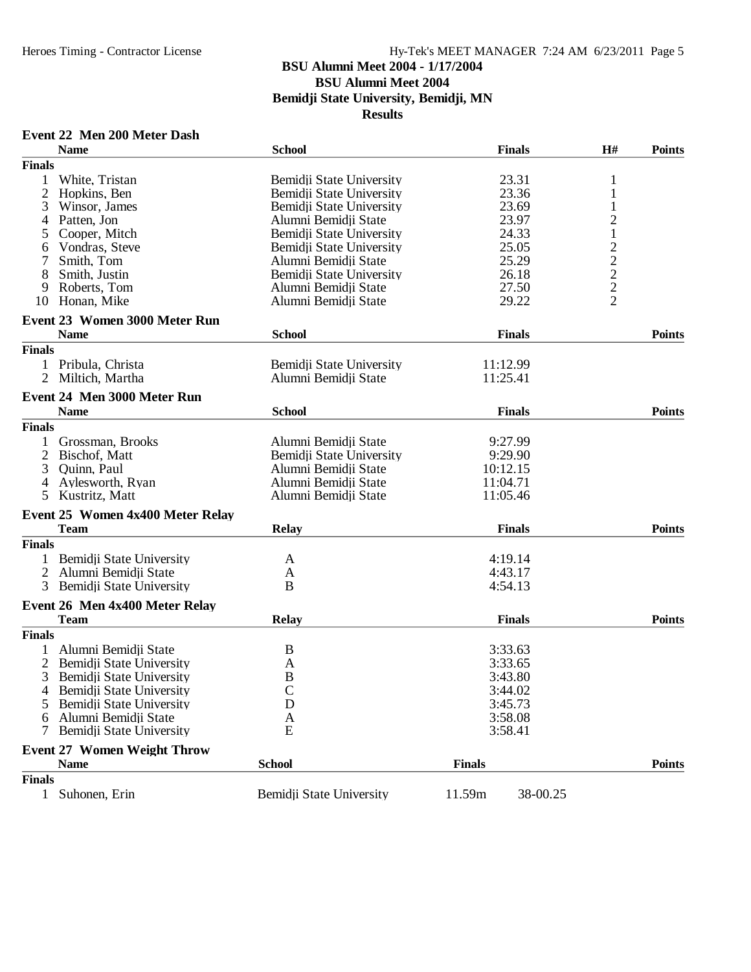#### **BSU Alumni Meet 2004 - 1/17/2004**

**BSU Alumni Meet 2004**

**Bemidji State University, Bemidji, MN**

| Event 22 Men 200 Meter Dash |  |  |  |
|-----------------------------|--|--|--|
|-----------------------------|--|--|--|

| <b>Finals</b><br>White, Tristan<br>Bemidji State University<br>23.31<br>1<br>1<br>$\overline{2}$<br>Bemidji State University<br>23.36<br>Hopkins, Ben<br>1<br>3<br>23.69<br>Winsor, James<br>Bemidji State University<br>1<br>$\overline{\mathbf{c}}$<br>23.97<br>Patten, Jon<br>Alumni Bemidji State<br>4<br>$\mathbf 1$<br>Cooper, Mitch<br>Bemidji State University<br>24.33<br>5<br>$\begin{array}{c}\n2 \\ 2 \\ 2 \\ 2\n\end{array}$<br>25.05<br>Vondras, Steve<br>Bemidji State University<br>6<br>Alumni Bemidji State<br>25.29<br>Smith, Tom<br>Bemidji State University<br>26.18<br>8<br>Smith, Justin<br>27.50<br>Roberts, Tom<br>Alumni Bemidji State<br>9<br>Honan, Mike<br>Alumni Bemidji State<br>29.22<br>10<br><b>Event 23 Women 3000 Meter Run</b><br><b>Name</b><br><b>School</b><br><b>Finals</b><br><b>Finals</b><br>Bemidii State University<br>Pribula, Christa<br>11:12.99<br>Miltich, Martha<br>Alumni Bemidji State<br>11:25.41<br>$\overline{2}$<br>Event 24 Men 3000 Meter Run<br><b>School</b><br><b>Finals</b><br><b>Points</b><br><b>Name</b><br><b>Finals</b><br>Alumni Bemidji State<br>Grossman, Brooks<br>9:27.99<br>$\overline{c}$<br>9:29.90<br>Bischof, Matt<br>Bemidji State University<br>3<br>Alumni Bemidii State<br>Quinn, Paul<br>10:12.15<br>Alumni Bemidii State<br>11:04.71<br>Aylesworth, Ryan<br>4<br>Alumni Bemidji State<br>5<br>Kustritz, Matt<br>11:05.46<br>Event 25 Women 4x400 Meter Relay<br><b>Team</b><br><b>Finals</b><br><b>Points</b><br><b>Relay</b><br><b>Finals</b><br>Bemidji State University<br>4:19.14<br>A<br>$\overline{2}$<br>Alumni Bemidji State<br>4:43.17<br>A<br>B<br>Bemidji State University<br>4:54.13<br>Event 26 Men 4x400 Meter Relay<br><b>Team</b><br><b>Points</b><br><b>Relay</b><br><b>Finals</b><br><b>Finals</b><br>1<br>Alumni Bemidji State<br>3:33.63<br>B<br>$\overline{2}$<br>Bemidji State University<br>3:33.65<br>A<br>B<br>3<br>Bemidji State University<br>3:43.80<br>$\overline{C}$<br>$\overline{4}$<br>Bemidji State University<br>3:44.02<br>Bemidji State University<br>D<br>3:45.73<br>3:58.08<br>Alumni Bemidji State<br>A<br>Bemidji State University<br>E<br>3:58.41<br>7<br><b>Event 27 Women Weight Throw</b><br><b>School</b><br><b>Finals</b><br><b>Name</b><br><b>Finals</b><br>Bemidji State University<br>11.59m<br>38-00.25<br>1 Suhonen, Erin | <b>Name</b> | <b>School</b> | <b>Finals</b> | H# | <b>Points</b> |
|--------------------------------------------------------------------------------------------------------------------------------------------------------------------------------------------------------------------------------------------------------------------------------------------------------------------------------------------------------------------------------------------------------------------------------------------------------------------------------------------------------------------------------------------------------------------------------------------------------------------------------------------------------------------------------------------------------------------------------------------------------------------------------------------------------------------------------------------------------------------------------------------------------------------------------------------------------------------------------------------------------------------------------------------------------------------------------------------------------------------------------------------------------------------------------------------------------------------------------------------------------------------------------------------------------------------------------------------------------------------------------------------------------------------------------------------------------------------------------------------------------------------------------------------------------------------------------------------------------------------------------------------------------------------------------------------------------------------------------------------------------------------------------------------------------------------------------------------------------------------------------------------------------------------------------------------------------------------------------------------------------------------------------------------------------------------------------------------------------------------------------------------------------------------------------------------------------------------------------------------------------------------------------------------------------------------------------------------------------------------|-------------|---------------|---------------|----|---------------|
|                                                                                                                                                                                                                                                                                                                                                                                                                                                                                                                                                                                                                                                                                                                                                                                                                                                                                                                                                                                                                                                                                                                                                                                                                                                                                                                                                                                                                                                                                                                                                                                                                                                                                                                                                                                                                                                                                                                                                                                                                                                                                                                                                                                                                                                                                                                                                                    |             |               |               |    |               |
|                                                                                                                                                                                                                                                                                                                                                                                                                                                                                                                                                                                                                                                                                                                                                                                                                                                                                                                                                                                                                                                                                                                                                                                                                                                                                                                                                                                                                                                                                                                                                                                                                                                                                                                                                                                                                                                                                                                                                                                                                                                                                                                                                                                                                                                                                                                                                                    |             |               |               |    |               |
|                                                                                                                                                                                                                                                                                                                                                                                                                                                                                                                                                                                                                                                                                                                                                                                                                                                                                                                                                                                                                                                                                                                                                                                                                                                                                                                                                                                                                                                                                                                                                                                                                                                                                                                                                                                                                                                                                                                                                                                                                                                                                                                                                                                                                                                                                                                                                                    |             |               |               |    |               |
|                                                                                                                                                                                                                                                                                                                                                                                                                                                                                                                                                                                                                                                                                                                                                                                                                                                                                                                                                                                                                                                                                                                                                                                                                                                                                                                                                                                                                                                                                                                                                                                                                                                                                                                                                                                                                                                                                                                                                                                                                                                                                                                                                                                                                                                                                                                                                                    |             |               |               |    |               |
|                                                                                                                                                                                                                                                                                                                                                                                                                                                                                                                                                                                                                                                                                                                                                                                                                                                                                                                                                                                                                                                                                                                                                                                                                                                                                                                                                                                                                                                                                                                                                                                                                                                                                                                                                                                                                                                                                                                                                                                                                                                                                                                                                                                                                                                                                                                                                                    |             |               |               |    |               |
|                                                                                                                                                                                                                                                                                                                                                                                                                                                                                                                                                                                                                                                                                                                                                                                                                                                                                                                                                                                                                                                                                                                                                                                                                                                                                                                                                                                                                                                                                                                                                                                                                                                                                                                                                                                                                                                                                                                                                                                                                                                                                                                                                                                                                                                                                                                                                                    |             |               |               |    |               |
|                                                                                                                                                                                                                                                                                                                                                                                                                                                                                                                                                                                                                                                                                                                                                                                                                                                                                                                                                                                                                                                                                                                                                                                                                                                                                                                                                                                                                                                                                                                                                                                                                                                                                                                                                                                                                                                                                                                                                                                                                                                                                                                                                                                                                                                                                                                                                                    |             |               |               |    |               |
|                                                                                                                                                                                                                                                                                                                                                                                                                                                                                                                                                                                                                                                                                                                                                                                                                                                                                                                                                                                                                                                                                                                                                                                                                                                                                                                                                                                                                                                                                                                                                                                                                                                                                                                                                                                                                                                                                                                                                                                                                                                                                                                                                                                                                                                                                                                                                                    |             |               |               |    |               |
|                                                                                                                                                                                                                                                                                                                                                                                                                                                                                                                                                                                                                                                                                                                                                                                                                                                                                                                                                                                                                                                                                                                                                                                                                                                                                                                                                                                                                                                                                                                                                                                                                                                                                                                                                                                                                                                                                                                                                                                                                                                                                                                                                                                                                                                                                                                                                                    |             |               |               |    |               |
|                                                                                                                                                                                                                                                                                                                                                                                                                                                                                                                                                                                                                                                                                                                                                                                                                                                                                                                                                                                                                                                                                                                                                                                                                                                                                                                                                                                                                                                                                                                                                                                                                                                                                                                                                                                                                                                                                                                                                                                                                                                                                                                                                                                                                                                                                                                                                                    |             |               |               |    |               |
|                                                                                                                                                                                                                                                                                                                                                                                                                                                                                                                                                                                                                                                                                                                                                                                                                                                                                                                                                                                                                                                                                                                                                                                                                                                                                                                                                                                                                                                                                                                                                                                                                                                                                                                                                                                                                                                                                                                                                                                                                                                                                                                                                                                                                                                                                                                                                                    |             |               |               |    |               |
|                                                                                                                                                                                                                                                                                                                                                                                                                                                                                                                                                                                                                                                                                                                                                                                                                                                                                                                                                                                                                                                                                                                                                                                                                                                                                                                                                                                                                                                                                                                                                                                                                                                                                                                                                                                                                                                                                                                                                                                                                                                                                                                                                                                                                                                                                                                                                                    |             |               |               |    |               |
|                                                                                                                                                                                                                                                                                                                                                                                                                                                                                                                                                                                                                                                                                                                                                                                                                                                                                                                                                                                                                                                                                                                                                                                                                                                                                                                                                                                                                                                                                                                                                                                                                                                                                                                                                                                                                                                                                                                                                                                                                                                                                                                                                                                                                                                                                                                                                                    |             |               |               |    |               |
|                                                                                                                                                                                                                                                                                                                                                                                                                                                                                                                                                                                                                                                                                                                                                                                                                                                                                                                                                                                                                                                                                                                                                                                                                                                                                                                                                                                                                                                                                                                                                                                                                                                                                                                                                                                                                                                                                                                                                                                                                                                                                                                                                                                                                                                                                                                                                                    |             |               |               |    | <b>Points</b> |
|                                                                                                                                                                                                                                                                                                                                                                                                                                                                                                                                                                                                                                                                                                                                                                                                                                                                                                                                                                                                                                                                                                                                                                                                                                                                                                                                                                                                                                                                                                                                                                                                                                                                                                                                                                                                                                                                                                                                                                                                                                                                                                                                                                                                                                                                                                                                                                    |             |               |               |    |               |
|                                                                                                                                                                                                                                                                                                                                                                                                                                                                                                                                                                                                                                                                                                                                                                                                                                                                                                                                                                                                                                                                                                                                                                                                                                                                                                                                                                                                                                                                                                                                                                                                                                                                                                                                                                                                                                                                                                                                                                                                                                                                                                                                                                                                                                                                                                                                                                    |             |               |               |    |               |
|                                                                                                                                                                                                                                                                                                                                                                                                                                                                                                                                                                                                                                                                                                                                                                                                                                                                                                                                                                                                                                                                                                                                                                                                                                                                                                                                                                                                                                                                                                                                                                                                                                                                                                                                                                                                                                                                                                                                                                                                                                                                                                                                                                                                                                                                                                                                                                    |             |               |               |    |               |
|                                                                                                                                                                                                                                                                                                                                                                                                                                                                                                                                                                                                                                                                                                                                                                                                                                                                                                                                                                                                                                                                                                                                                                                                                                                                                                                                                                                                                                                                                                                                                                                                                                                                                                                                                                                                                                                                                                                                                                                                                                                                                                                                                                                                                                                                                                                                                                    |             |               |               |    |               |
|                                                                                                                                                                                                                                                                                                                                                                                                                                                                                                                                                                                                                                                                                                                                                                                                                                                                                                                                                                                                                                                                                                                                                                                                                                                                                                                                                                                                                                                                                                                                                                                                                                                                                                                                                                                                                                                                                                                                                                                                                                                                                                                                                                                                                                                                                                                                                                    |             |               |               |    |               |
|                                                                                                                                                                                                                                                                                                                                                                                                                                                                                                                                                                                                                                                                                                                                                                                                                                                                                                                                                                                                                                                                                                                                                                                                                                                                                                                                                                                                                                                                                                                                                                                                                                                                                                                                                                                                                                                                                                                                                                                                                                                                                                                                                                                                                                                                                                                                                                    |             |               |               |    |               |
|                                                                                                                                                                                                                                                                                                                                                                                                                                                                                                                                                                                                                                                                                                                                                                                                                                                                                                                                                                                                                                                                                                                                                                                                                                                                                                                                                                                                                                                                                                                                                                                                                                                                                                                                                                                                                                                                                                                                                                                                                                                                                                                                                                                                                                                                                                                                                                    |             |               |               |    |               |
|                                                                                                                                                                                                                                                                                                                                                                                                                                                                                                                                                                                                                                                                                                                                                                                                                                                                                                                                                                                                                                                                                                                                                                                                                                                                                                                                                                                                                                                                                                                                                                                                                                                                                                                                                                                                                                                                                                                                                                                                                                                                                                                                                                                                                                                                                                                                                                    |             |               |               |    |               |
|                                                                                                                                                                                                                                                                                                                                                                                                                                                                                                                                                                                                                                                                                                                                                                                                                                                                                                                                                                                                                                                                                                                                                                                                                                                                                                                                                                                                                                                                                                                                                                                                                                                                                                                                                                                                                                                                                                                                                                                                                                                                                                                                                                                                                                                                                                                                                                    |             |               |               |    |               |
|                                                                                                                                                                                                                                                                                                                                                                                                                                                                                                                                                                                                                                                                                                                                                                                                                                                                                                                                                                                                                                                                                                                                                                                                                                                                                                                                                                                                                                                                                                                                                                                                                                                                                                                                                                                                                                                                                                                                                                                                                                                                                                                                                                                                                                                                                                                                                                    |             |               |               |    |               |
|                                                                                                                                                                                                                                                                                                                                                                                                                                                                                                                                                                                                                                                                                                                                                                                                                                                                                                                                                                                                                                                                                                                                                                                                                                                                                                                                                                                                                                                                                                                                                                                                                                                                                                                                                                                                                                                                                                                                                                                                                                                                                                                                                                                                                                                                                                                                                                    |             |               |               |    |               |
|                                                                                                                                                                                                                                                                                                                                                                                                                                                                                                                                                                                                                                                                                                                                                                                                                                                                                                                                                                                                                                                                                                                                                                                                                                                                                                                                                                                                                                                                                                                                                                                                                                                                                                                                                                                                                                                                                                                                                                                                                                                                                                                                                                                                                                                                                                                                                                    |             |               |               |    |               |
|                                                                                                                                                                                                                                                                                                                                                                                                                                                                                                                                                                                                                                                                                                                                                                                                                                                                                                                                                                                                                                                                                                                                                                                                                                                                                                                                                                                                                                                                                                                                                                                                                                                                                                                                                                                                                                                                                                                                                                                                                                                                                                                                                                                                                                                                                                                                                                    |             |               |               |    |               |
|                                                                                                                                                                                                                                                                                                                                                                                                                                                                                                                                                                                                                                                                                                                                                                                                                                                                                                                                                                                                                                                                                                                                                                                                                                                                                                                                                                                                                                                                                                                                                                                                                                                                                                                                                                                                                                                                                                                                                                                                                                                                                                                                                                                                                                                                                                                                                                    |             |               |               |    |               |
|                                                                                                                                                                                                                                                                                                                                                                                                                                                                                                                                                                                                                                                                                                                                                                                                                                                                                                                                                                                                                                                                                                                                                                                                                                                                                                                                                                                                                                                                                                                                                                                                                                                                                                                                                                                                                                                                                                                                                                                                                                                                                                                                                                                                                                                                                                                                                                    |             |               |               |    |               |
|                                                                                                                                                                                                                                                                                                                                                                                                                                                                                                                                                                                                                                                                                                                                                                                                                                                                                                                                                                                                                                                                                                                                                                                                                                                                                                                                                                                                                                                                                                                                                                                                                                                                                                                                                                                                                                                                                                                                                                                                                                                                                                                                                                                                                                                                                                                                                                    |             |               |               |    |               |
|                                                                                                                                                                                                                                                                                                                                                                                                                                                                                                                                                                                                                                                                                                                                                                                                                                                                                                                                                                                                                                                                                                                                                                                                                                                                                                                                                                                                                                                                                                                                                                                                                                                                                                                                                                                                                                                                                                                                                                                                                                                                                                                                                                                                                                                                                                                                                                    |             |               |               |    |               |
|                                                                                                                                                                                                                                                                                                                                                                                                                                                                                                                                                                                                                                                                                                                                                                                                                                                                                                                                                                                                                                                                                                                                                                                                                                                                                                                                                                                                                                                                                                                                                                                                                                                                                                                                                                                                                                                                                                                                                                                                                                                                                                                                                                                                                                                                                                                                                                    |             |               |               |    |               |
|                                                                                                                                                                                                                                                                                                                                                                                                                                                                                                                                                                                                                                                                                                                                                                                                                                                                                                                                                                                                                                                                                                                                                                                                                                                                                                                                                                                                                                                                                                                                                                                                                                                                                                                                                                                                                                                                                                                                                                                                                                                                                                                                                                                                                                                                                                                                                                    |             |               |               |    |               |
|                                                                                                                                                                                                                                                                                                                                                                                                                                                                                                                                                                                                                                                                                                                                                                                                                                                                                                                                                                                                                                                                                                                                                                                                                                                                                                                                                                                                                                                                                                                                                                                                                                                                                                                                                                                                                                                                                                                                                                                                                                                                                                                                                                                                                                                                                                                                                                    |             |               |               |    |               |
|                                                                                                                                                                                                                                                                                                                                                                                                                                                                                                                                                                                                                                                                                                                                                                                                                                                                                                                                                                                                                                                                                                                                                                                                                                                                                                                                                                                                                                                                                                                                                                                                                                                                                                                                                                                                                                                                                                                                                                                                                                                                                                                                                                                                                                                                                                                                                                    |             |               |               |    |               |
|                                                                                                                                                                                                                                                                                                                                                                                                                                                                                                                                                                                                                                                                                                                                                                                                                                                                                                                                                                                                                                                                                                                                                                                                                                                                                                                                                                                                                                                                                                                                                                                                                                                                                                                                                                                                                                                                                                                                                                                                                                                                                                                                                                                                                                                                                                                                                                    |             |               |               |    |               |
|                                                                                                                                                                                                                                                                                                                                                                                                                                                                                                                                                                                                                                                                                                                                                                                                                                                                                                                                                                                                                                                                                                                                                                                                                                                                                                                                                                                                                                                                                                                                                                                                                                                                                                                                                                                                                                                                                                                                                                                                                                                                                                                                                                                                                                                                                                                                                                    |             |               |               |    |               |
|                                                                                                                                                                                                                                                                                                                                                                                                                                                                                                                                                                                                                                                                                                                                                                                                                                                                                                                                                                                                                                                                                                                                                                                                                                                                                                                                                                                                                                                                                                                                                                                                                                                                                                                                                                                                                                                                                                                                                                                                                                                                                                                                                                                                                                                                                                                                                                    |             |               |               |    |               |
|                                                                                                                                                                                                                                                                                                                                                                                                                                                                                                                                                                                                                                                                                                                                                                                                                                                                                                                                                                                                                                                                                                                                                                                                                                                                                                                                                                                                                                                                                                                                                                                                                                                                                                                                                                                                                                                                                                                                                                                                                                                                                                                                                                                                                                                                                                                                                                    |             |               |               |    |               |
|                                                                                                                                                                                                                                                                                                                                                                                                                                                                                                                                                                                                                                                                                                                                                                                                                                                                                                                                                                                                                                                                                                                                                                                                                                                                                                                                                                                                                                                                                                                                                                                                                                                                                                                                                                                                                                                                                                                                                                                                                                                                                                                                                                                                                                                                                                                                                                    |             |               |               |    |               |
|                                                                                                                                                                                                                                                                                                                                                                                                                                                                                                                                                                                                                                                                                                                                                                                                                                                                                                                                                                                                                                                                                                                                                                                                                                                                                                                                                                                                                                                                                                                                                                                                                                                                                                                                                                                                                                                                                                                                                                                                                                                                                                                                                                                                                                                                                                                                                                    |             |               |               |    |               |
|                                                                                                                                                                                                                                                                                                                                                                                                                                                                                                                                                                                                                                                                                                                                                                                                                                                                                                                                                                                                                                                                                                                                                                                                                                                                                                                                                                                                                                                                                                                                                                                                                                                                                                                                                                                                                                                                                                                                                                                                                                                                                                                                                                                                                                                                                                                                                                    |             |               |               |    |               |
|                                                                                                                                                                                                                                                                                                                                                                                                                                                                                                                                                                                                                                                                                                                                                                                                                                                                                                                                                                                                                                                                                                                                                                                                                                                                                                                                                                                                                                                                                                                                                                                                                                                                                                                                                                                                                                                                                                                                                                                                                                                                                                                                                                                                                                                                                                                                                                    |             |               |               |    |               |
|                                                                                                                                                                                                                                                                                                                                                                                                                                                                                                                                                                                                                                                                                                                                                                                                                                                                                                                                                                                                                                                                                                                                                                                                                                                                                                                                                                                                                                                                                                                                                                                                                                                                                                                                                                                                                                                                                                                                                                                                                                                                                                                                                                                                                                                                                                                                                                    |             |               |               |    |               |
|                                                                                                                                                                                                                                                                                                                                                                                                                                                                                                                                                                                                                                                                                                                                                                                                                                                                                                                                                                                                                                                                                                                                                                                                                                                                                                                                                                                                                                                                                                                                                                                                                                                                                                                                                                                                                                                                                                                                                                                                                                                                                                                                                                                                                                                                                                                                                                    |             |               |               |    |               |
|                                                                                                                                                                                                                                                                                                                                                                                                                                                                                                                                                                                                                                                                                                                                                                                                                                                                                                                                                                                                                                                                                                                                                                                                                                                                                                                                                                                                                                                                                                                                                                                                                                                                                                                                                                                                                                                                                                                                                                                                                                                                                                                                                                                                                                                                                                                                                                    |             |               |               |    | <b>Points</b> |
|                                                                                                                                                                                                                                                                                                                                                                                                                                                                                                                                                                                                                                                                                                                                                                                                                                                                                                                                                                                                                                                                                                                                                                                                                                                                                                                                                                                                                                                                                                                                                                                                                                                                                                                                                                                                                                                                                                                                                                                                                                                                                                                                                                                                                                                                                                                                                                    |             |               |               |    |               |
|                                                                                                                                                                                                                                                                                                                                                                                                                                                                                                                                                                                                                                                                                                                                                                                                                                                                                                                                                                                                                                                                                                                                                                                                                                                                                                                                                                                                                                                                                                                                                                                                                                                                                                                                                                                                                                                                                                                                                                                                                                                                                                                                                                                                                                                                                                                                                                    |             |               |               |    |               |